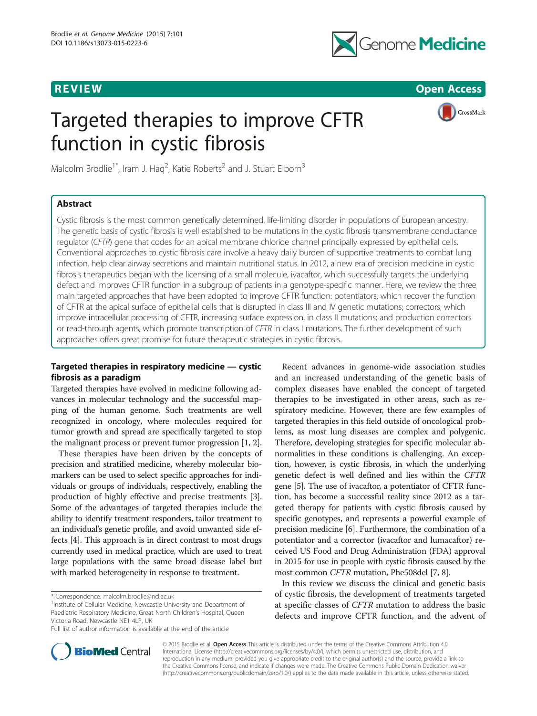

**REVIEW CONSTRUCTION CONSTRUCTION CONSTRUCTION CONSTRUCTS** 

# Targeted therapies to improve CFTR function in cystic fibrosis



Malcolm Brodlie<sup>1\*</sup>, Iram J. Haq<sup>2</sup>, Katie Roberts<sup>2</sup> and J. Stuart Elborn<sup>3</sup>

# Abstract

Cystic fibrosis is the most common genetically determined, life-limiting disorder in populations of European ancestry. The genetic basis of cystic fibrosis is well established to be mutations in the cystic fibrosis transmembrane conductance regulator (CFTR) gene that codes for an apical membrane chloride channel principally expressed by epithelial cells. Conventional approaches to cystic fibrosis care involve a heavy daily burden of supportive treatments to combat lung infection, help clear airway secretions and maintain nutritional status. In 2012, a new era of precision medicine in cystic fibrosis therapeutics began with the licensing of a small molecule, ivacaftor, which successfully targets the underlying defect and improves CFTR function in a subgroup of patients in a genotype-specific manner. Here, we review the three main targeted approaches that have been adopted to improve CFTR function: potentiators, which recover the function of CFTR at the apical surface of epithelial cells that is disrupted in class III and IV genetic mutations; correctors, which improve intracellular processing of CFTR, increasing surface expression, in class II mutations; and production correctors or read-through agents, which promote transcription of CFTR in class I mutations. The further development of such approaches offers great promise for future therapeutic strategies in cystic fibrosis.

# Targeted therapies in respiratory medicine — cystic fibrosis as a paradigm

Targeted therapies have evolved in medicine following advances in molecular technology and the successful mapping of the human genome. Such treatments are well recognized in oncology, where molecules required for tumor growth and spread are specifically targeted to stop the malignant process or prevent tumor progression [\[1, 2](#page-13-0)].

These therapies have been driven by the concepts of precision and stratified medicine, whereby molecular biomarkers can be used to select specific approaches for individuals or groups of individuals, respectively, enabling the production of highly effective and precise treatments [[3](#page-13-0)]. Some of the advantages of targeted therapies include the ability to identify treatment responders, tailor treatment to an individual's genetic profile, and avoid unwanted side effects [[4\]](#page-13-0). This approach is in direct contrast to most drugs currently used in medical practice, which are used to treat large populations with the same broad disease label but with marked heterogeneity in response to treatment.

Recent advances in genome-wide association studies and an increased understanding of the genetic basis of complex diseases have enabled the concept of targeted therapies to be investigated in other areas, such as respiratory medicine. However, there are few examples of targeted therapies in this field outside of oncological problems, as most lung diseases are complex and polygenic. Therefore, developing strategies for specific molecular abnormalities in these conditions is challenging. An exception, however, is cystic fibrosis, in which the underlying genetic defect is well defined and lies within the CFTR gene [\[5](#page-13-0)]. The use of ivacaftor, a potentiator of CFTR function, has become a successful reality since 2012 as a targeted therapy for patients with cystic fibrosis caused by specific genotypes, and represents a powerful example of precision medicine [\[6](#page-13-0)]. Furthermore, the combination of a potentiator and a corrector (ivacaftor and lumacaftor) received US Food and Drug Administration (FDA) approval in 2015 for use in people with cystic fibrosis caused by the most common CFTR mutation, Phe508del [\[7](#page-13-0), [8\]](#page-13-0).

In this review we discuss the clinical and genetic basis of cystic fibrosis, the development of treatments targeted at specific classes of CFTR mutation to address the basic defects and improve CFTR function, and the advent of



© 2015 Brodlie et al. Open Access This article is distributed under the terms of the Creative Commons Attribution 4.0 International License [\(http://creativecommons.org/licenses/by/4.0/](http://creativecommons.org/licenses/by/4.0/)), which permits unrestricted use, distribution, and reproduction in any medium, provided you give appropriate credit to the original author(s) and the source, provide a link to the Creative Commons license, and indicate if changes were made. The Creative Commons Public Domain Dedication waiver [\(http://creativecommons.org/publicdomain/zero/1.0/](http://creativecommons.org/publicdomain/zero/1.0/)) applies to the data made available in this article, unless otherwise stated.

<sup>\*</sup> Correspondence: [malcolm.brodlie@ncl.ac.uk](mailto:malcolm.brodlie@ncl.ac.uk) <sup>1</sup>

<sup>&</sup>lt;sup>1</sup>Institute of Cellular Medicine, Newcastle University and Department of Paediatric Respiratory Medicine, Great North Children's Hospital, Queen Victoria Road, Newcastle NE1 4LP, UK

Full list of author information is available at the end of the article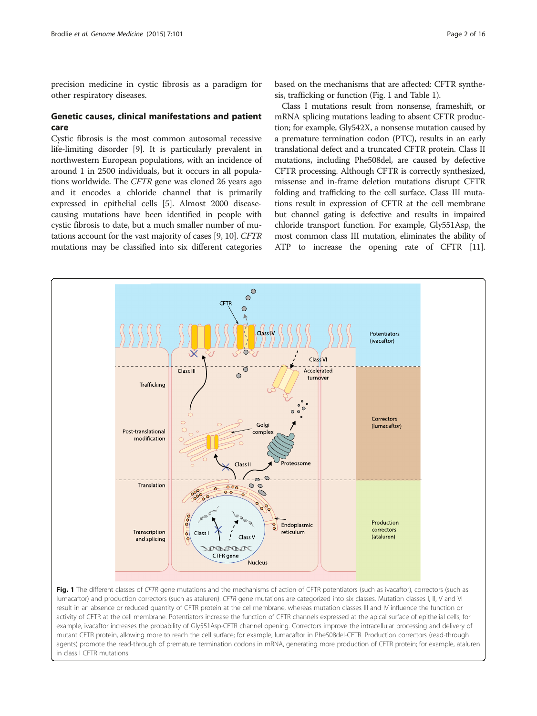<span id="page-1-0"></span>precision medicine in cystic fibrosis as a paradigm for other respiratory diseases.

# Genetic causes, clinical manifestations and patient care

Cystic fibrosis is the most common autosomal recessive life-limiting disorder [\[9](#page-13-0)]. It is particularly prevalent in northwestern European populations, with an incidence of around 1 in 2500 individuals, but it occurs in all populations worldwide. The CFTR gene was cloned 26 years ago and it encodes a chloride channel that is primarily expressed in epithelial cells [\[5](#page-13-0)]. Almost 2000 diseasecausing mutations have been identified in people with cystic fibrosis to date, but a much smaller number of mutations account for the vast majority of cases [\[9, 10](#page-13-0)]. CFTR mutations may be classified into six different categories

based on the mechanisms that are affected: CFTR synthesis, trafficking or function (Fig. 1 and Table [1](#page-2-0)).

Class I mutations result from nonsense, frameshift, or mRNA splicing mutations leading to absent CFTR production; for example, Gly542X, a nonsense mutation caused by a premature termination codon (PTC), results in an early translational defect and a truncated CFTR protein. Class II mutations, including Phe508del, are caused by defective CFTR processing. Although CFTR is correctly synthesized, missense and in-frame deletion mutations disrupt CFTR folding and trafficking to the cell surface. Class III mutations result in expression of CFTR at the cell membrane but channel gating is defective and results in impaired chloride transport function. For example, Gly551Asp, the most common class III mutation, eliminates the ability of ATP to increase the opening rate of CFTR [\[11](#page-13-0)].

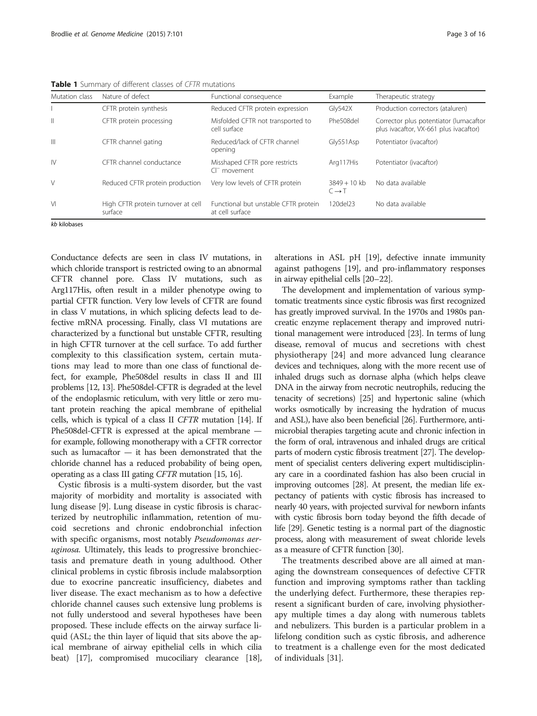<span id="page-2-0"></span>Table 1 Summary of different classes of CFTR mutations

| Mutation class | Nature of defect                              | Functional consequence                                  | Example                             | Therapeutic strategy                                                             |
|----------------|-----------------------------------------------|---------------------------------------------------------|-------------------------------------|----------------------------------------------------------------------------------|
|                | CFTR protein synthesis                        | Reduced CFTR protein expression                         | Gly542X                             | Production correctors (ataluren)                                                 |
| $\mathbb{I}$   | CFTR protein processing                       | Misfolded CFTR not transported to<br>cell surface       | Phe508del                           | Corrector plus potentiator (lumacaftor<br>plus ivacaftor, VX-661 plus ivacaftor) |
| $\mathbf{m}$   | CFTR channel gating                           | Reduced/lack of CFTR channel<br>opening                 | Gly551Asp                           | Potentiator (ivacaftor)                                                          |
| $\mathsf{IV}$  | CFTR channel conductance                      | Misshaped CFTR pore restricts<br>$CI-$ movement         | Arg117His                           | Potentiator (ivacaftor)                                                          |
| V              | Reduced CFTR protein production               | Very low levels of CFTR protein                         | $3849 + 10$ kb<br>$C \rightarrow T$ | No data available                                                                |
| $\vee$         | High CFTR protein turnover at cell<br>surface | Functional but unstable CFTR protein<br>at cell surface | 120del23                            | No data available                                                                |
|                |                                               |                                                         |                                     |                                                                                  |

kb kilobases

Conductance defects are seen in class IV mutations, in which chloride transport is restricted owing to an abnormal CFTR channel pore. Class IV mutations, such as Arg117His, often result in a milder phenotype owing to partial CFTR function. Very low levels of CFTR are found in class V mutations, in which splicing defects lead to defective mRNA processing. Finally, class VI mutations are characterized by a functional but unstable CFTR, resulting in high CFTR turnover at the cell surface. To add further complexity to this classification system, certain mutations may lead to more than one class of functional defect, for example, Phe508del results in class II and III problems [\[12](#page-13-0), [13\]](#page-13-0). Phe508del-CFTR is degraded at the level of the endoplasmic reticulum, with very little or zero mutant protein reaching the apical membrane of epithelial cells, which is typical of a class II CFTR mutation [\[14\]](#page-13-0). If Phe508del-CFTR is expressed at the apical membrane for example, following monotherapy with a CFTR corrector such as lumacaftor — it has been demonstrated that the chloride channel has a reduced probability of being open, operating as a class III gating CFTR mutation [\[15, 16\]](#page-13-0).

Cystic fibrosis is a multi-system disorder, but the vast majority of morbidity and mortality is associated with lung disease [[9\]](#page-13-0). Lung disease in cystic fibrosis is characterized by neutrophilic inflammation, retention of mucoid secretions and chronic endobronchial infection with specific organisms, most notably Pseudomonas aeruginosa. Ultimately, this leads to progressive bronchiectasis and premature death in young adulthood. Other clinical problems in cystic fibrosis include malabsorption due to exocrine pancreatic insufficiency, diabetes and liver disease. The exact mechanism as to how a defective chloride channel causes such extensive lung problems is not fully understood and several hypotheses have been proposed. These include effects on the airway surface liquid (ASL; the thin layer of liquid that sits above the apical membrane of airway epithelial cells in which cilia beat) [\[17](#page-13-0)], compromised mucociliary clearance [[18](#page-13-0)],

alterations in ASL pH [[19](#page-14-0)], defective innate immunity against pathogens [\[19](#page-14-0)], and pro-inflammatory responses in airway epithelial cells [\[20](#page-14-0)–[22](#page-14-0)].

The development and implementation of various symptomatic treatments since cystic fibrosis was first recognized has greatly improved survival. In the 1970s and 1980s pancreatic enzyme replacement therapy and improved nutritional management were introduced [\[23\]](#page-14-0). In terms of lung disease, removal of mucus and secretions with chest physiotherapy [\[24\]](#page-14-0) and more advanced lung clearance devices and techniques, along with the more recent use of inhaled drugs such as dornase alpha (which helps cleave DNA in the airway from necrotic neutrophils, reducing the tenacity of secretions) [\[25\]](#page-14-0) and hypertonic saline (which works osmotically by increasing the hydration of mucus and ASL), have also been beneficial [\[26\]](#page-14-0). Furthermore, antimicrobial therapies targeting acute and chronic infection in the form of oral, intravenous and inhaled drugs are critical parts of modern cystic fibrosis treatment [\[27\]](#page-14-0). The development of specialist centers delivering expert multidisciplinary care in a coordinated fashion has also been crucial in improving outcomes [\[28\]](#page-14-0). At present, the median life expectancy of patients with cystic fibrosis has increased to nearly 40 years, with projected survival for newborn infants with cystic fibrosis born today beyond the fifth decade of life [[29](#page-14-0)]. Genetic testing is a normal part of the diagnostic process, along with measurement of sweat chloride levels as a measure of CFTR function [\[30\]](#page-14-0).

The treatments described above are all aimed at managing the downstream consequences of defective CFTR function and improving symptoms rather than tackling the underlying defect. Furthermore, these therapies represent a significant burden of care, involving physiotherapy multiple times a day along with numerous tablets and nebulizers. This burden is a particular problem in a lifelong condition such as cystic fibrosis, and adherence to treatment is a challenge even for the most dedicated of individuals [[31\]](#page-14-0).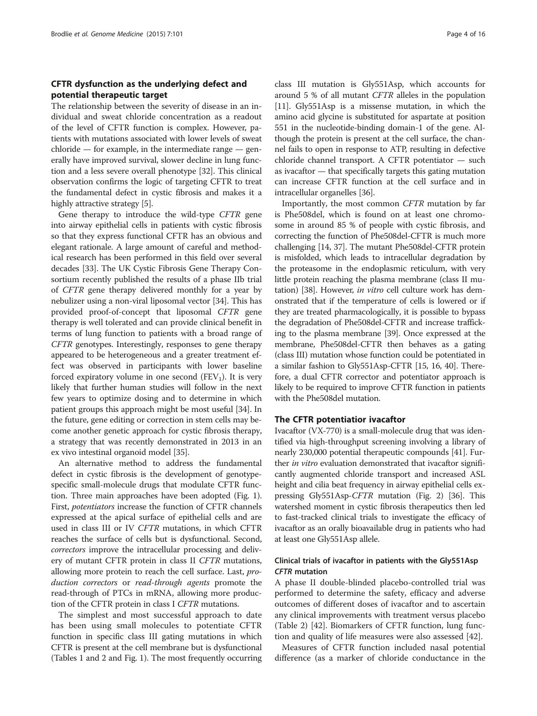# CFTR dysfunction as the underlying defect and potential therapeutic target

The relationship between the severity of disease in an individual and sweat chloride concentration as a readout of the level of CFTR function is complex. However, patients with mutations associated with lower levels of sweat  $\chi$ chloride — for example, in the intermediate range — generally have improved survival, slower decline in lung function and a less severe overall phenotype [[32](#page-14-0)]. This clinical observation confirms the logic of targeting CFTR to treat the fundamental defect in cystic fibrosis and makes it a highly attractive strategy [\[5\]](#page-13-0).

Gene therapy to introduce the wild-type CFTR gene into airway epithelial cells in patients with cystic fibrosis so that they express functional CFTR has an obvious and elegant rationale. A large amount of careful and methodical research has been performed in this field over several decades [\[33\]](#page-14-0). The UK Cystic Fibrosis Gene Therapy Consortium recently published the results of a phase IIb trial of CFTR gene therapy delivered monthly for a year by nebulizer using a non-viral liposomal vector [\[34\]](#page-14-0). This has provided proof-of-concept that liposomal CFTR gene therapy is well tolerated and can provide clinical benefit in terms of lung function to patients with a broad range of CFTR genotypes. Interestingly, responses to gene therapy appeared to be heterogeneous and a greater treatment effect was observed in participants with lower baseline forced expiratory volume in one second  $(FEV_1)$ . It is very likely that further human studies will follow in the next few years to optimize dosing and to determine in which patient groups this approach might be most useful [\[34](#page-14-0)]. In the future, gene editing or correction in stem cells may become another genetic approach for cystic fibrosis therapy, a strategy that was recently demonstrated in 2013 in an ex vivo intestinal organoid model [\[35](#page-14-0)].

An alternative method to address the fundamental defect in cystic fibrosis is the development of genotypespecific small-molecule drugs that modulate CFTR function. Three main approaches have been adopted (Fig. [1](#page-1-0)). First, potentiators increase the function of CFTR channels expressed at the apical surface of epithelial cells and are used in class III or IV CFTR mutations, in which CFTR reaches the surface of cells but is dysfunctional. Second, correctors improve the intracellular processing and delivery of mutant CFTR protein in class II CFTR mutations, allowing more protein to reach the cell surface. Last, production correctors or read-through agents promote the read-through of PTCs in mRNA, allowing more production of the CFTR protein in class I CFTR mutations.

The simplest and most successful approach to date has been using small molecules to potentiate CFTR function in specific class III gating mutations in which CFTR is present at the cell membrane but is dysfunctional (Tables [1](#page-2-0) and [2](#page-4-0) and Fig. [1\)](#page-1-0). The most frequently occurring

class III mutation is Gly551Asp, which accounts for around 5 % of all mutant CFTR alleles in the population [[11](#page-13-0)]. Gly551Asp is a missense mutation, in which the amino acid glycine is substituted for aspartate at position 551 in the nucleotide-binding domain-1 of the gene. Although the protein is present at the cell surface, the channel fails to open in response to ATP, resulting in defective chloride channel transport. A CFTR potentiator — such as ivacaftor — that specifically targets this gating mutation can increase CFTR function at the cell surface and in intracellular organelles [\[36\]](#page-14-0).

Importantly, the most common CFTR mutation by far is Phe508del, which is found on at least one chromosome in around 85 % of people with cystic fibrosis, and correcting the function of Phe508del-CFTR is much more challenging [[14](#page-13-0), [37\]](#page-14-0). The mutant Phe508del-CFTR protein is misfolded, which leads to intracellular degradation by the proteasome in the endoplasmic reticulum, with very little protein reaching the plasma membrane (class II mutation) [\[38\]](#page-14-0). However, in vitro cell culture work has demonstrated that if the temperature of cells is lowered or if they are treated pharmacologically, it is possible to bypass the degradation of Phe508del-CFTR and increase trafficking to the plasma membrane [\[39](#page-14-0)]. Once expressed at the membrane, Phe508del-CFTR then behaves as a gating (class III) mutation whose function could be potentiated in a similar fashion to Gly551Asp-CFTR [[15](#page-13-0), [16](#page-13-0), [40\]](#page-14-0). Therefore, a dual CFTR corrector and potentiator approach is likely to be required to improve CFTR function in patients with the Phe508del mutation.

# The CFTR potentiatior ivacaftor

Ivacaftor (VX-770) is a small-molecule drug that was identified via high-throughput screening involving a library of nearly 230,000 potential therapeutic compounds [[41](#page-14-0)]. Further in vitro evaluation demonstrated that ivacaftor significantly augmented chloride transport and increased ASL height and cilia beat frequency in airway epithelial cells expressing Gly551Asp-CFTR mutation (Fig. [2\)](#page-5-0) [[36](#page-14-0)]. This watershed moment in cystic fibrosis therapeutics then led to fast-tracked clinical trials to investigate the efficacy of ivacaftor as an orally bioavailable drug in patients who had at least one Gly551Asp allele.

# Clinical trials of ivacaftor in patients with the Gly551Asp CFTR mutation

A phase II double-blinded placebo-controlled trial was performed to determine the safety, efficacy and adverse outcomes of different doses of ivacaftor and to ascertain any clinical improvements with treatment versus placebo (Table [2](#page-4-0)) [\[42\]](#page-14-0). Biomarkers of CFTR function, lung function and quality of life measures were also assessed [\[42](#page-14-0)].

Measures of CFTR function included nasal potential difference (as a marker of chloride conductance in the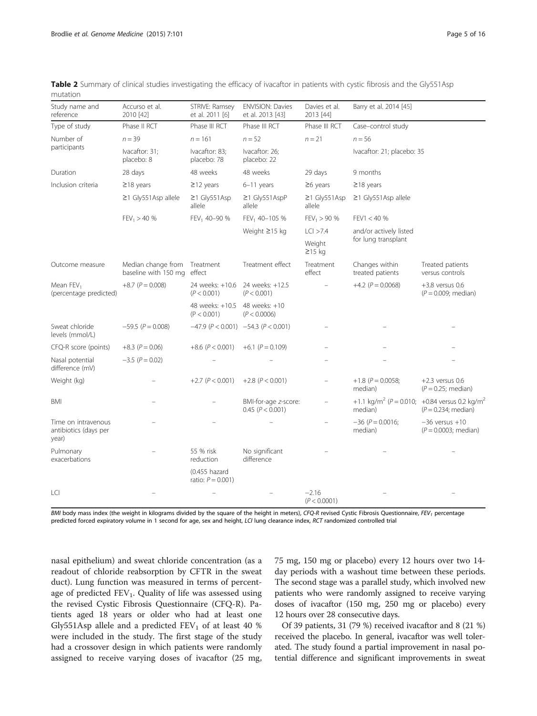| Study name and<br>reference                           | Accurso et al.<br>2010 [42]                | STRIVE: Ramsey<br>et al. 2011 [6]       | <b>ENVISION: Davies</b><br>et al. 2013 [43]     | Davies et al.<br>2013 [44]   | Barry et al. 2014 [45]             |                                                                                                           |
|-------------------------------------------------------|--------------------------------------------|-----------------------------------------|-------------------------------------------------|------------------------------|------------------------------------|-----------------------------------------------------------------------------------------------------------|
| Type of study                                         | Phase II RCT                               | Phase III RCT                           | Phase III RCT                                   | Phase III RCT                | Case-control study                 |                                                                                                           |
| Number of                                             | $n = 39$                                   | $n = 161$                               | $n = 52$                                        | $n = 21$                     | $n = 56$                           |                                                                                                           |
| participants                                          | Ivacaftor: 31:<br>placebo: 8               | Ivacaftor: 83;<br>placebo: 78           | Ivacaftor: 26;<br>placebo: 22                   |                              | Ivacaftor: 21; placebo: 35         |                                                                                                           |
| Duration                                              | 28 days                                    | 48 weeks                                | 48 weeks                                        | 29 days                      | 9 months                           |                                                                                                           |
| Inclusion criteria                                    | $\geq$ 18 years                            | $\geq$ 12 years                         | $6-11$ years                                    | $\geq$ 6 years               | $\geq$ 18 years                    |                                                                                                           |
|                                                       | $\geq$ 1 Gly551Asp allele                  | $\geq$ 1 Gly551Asp<br>allele            | ≥1 Gly551AspP<br>allele                         | $\geq$ 1 Gly551Asp<br>allele | $\geq$ 1 Gly551Asp allele          |                                                                                                           |
|                                                       | $FEV_1 > 40 \%$                            | FEV <sub>1</sub> 40-90 %                | FEV <sub>1</sub> 40-105 %                       | $FEV_1 > 90 %$               | FEV1 < 40 %                        |                                                                                                           |
|                                                       |                                            |                                         | Weight ≥15 kg                                   | LCI > 7.4                    | and/or actively listed             |                                                                                                           |
|                                                       |                                            |                                         |                                                 | Weight<br>$\geq$ 15 kg       | for lung transplant                |                                                                                                           |
| Outcome measure                                       | Median change from<br>baseline with 150 mg | Treatment<br>effect                     | Treatment effect                                | Treatment<br>effect          | Changes within<br>treated patients | Treated patients<br>versus controls                                                                       |
| Mean FEV <sub>1</sub><br>(percentage predicted)       | $+8.7$ ( $P = 0.008$ )                     | 24 weeks: +10.6<br>(P < 0.001)          | 24 weeks: +12.5<br>(P < 0.001)                  |                              | $+4.2$ ( $P = 0.0068$ )            | $+3.8$ versus $0.6$<br>$(P = 0.009; \text{median})$                                                       |
|                                                       |                                            | 48 weeks: +10.5<br>(P < 0.001)          | 48 weeks: +10<br>(P < 0.0006)                   |                              |                                    |                                                                                                           |
| Sweat chloride<br>levels (mmol/L)                     | $-59.5$ ( $P = 0.008$ )                    |                                         | $-47.9$ ( $P < 0.001$ ) $-54.3$ ( $P < 0.001$ ) |                              |                                    |                                                                                                           |
| CFQ-R score (points)                                  | $+8.3$ ( $P = 0.06$ )                      | $+8.6$ ( $P < 0.001$ )                  | $+6.1$ ( $P = 0.109$ )                          |                              |                                    |                                                                                                           |
| Nasal potential<br>difference (mV)                    | $-3.5 (P = 0.02)$                          |                                         |                                                 |                              |                                    |                                                                                                           |
| Weight (kg)                                           |                                            | $+2.7$ ( $P < 0.001$ )                  | $+2.8$ ( $P < 0.001$ )                          | $\overline{\phantom{0}}$     | $+1.8$ ( $P = 0.0058$ ;<br>median) | $+2.3$ versus 0.6<br>$(P = 0.25; \text{median})$                                                          |
| BMI                                                   |                                            |                                         | BMI-for-age z-score:<br>$0.45$ ( $P < 0.001$ )  |                              | median)                            | +1.1 kg/m <sup>2</sup> ( $P = 0.010$ ; +0.84 versus 0.2 kg/m <sup>2</sup><br>$(P = 0.234; \text{median})$ |
| Time on intravenous<br>antibiotics (days per<br>year) |                                            |                                         |                                                 |                              | $-36$ ( $P = 0.0016$ ;<br>median)  | $-36$ versus $+10$<br>$(P = 0.0003; \text{ median})$                                                      |
| Pulmonary<br>exacerbations                            |                                            | 55 % risk<br>reduction                  | No significant<br>difference                    |                              |                                    |                                                                                                           |
|                                                       |                                            | $(0.455$ hazard<br>ratio: $P = 0.001$ ) |                                                 |                              |                                    |                                                                                                           |
| LCI                                                   |                                            | $\overline{\phantom{0}}$                |                                                 | $-2.16$<br>(P < 0.0001)      |                                    |                                                                                                           |

<span id="page-4-0"></span>Table 2 Summary of clinical studies investigating the efficacy of ivacaftor in patients with cystic fibrosis and the Gly551Asp mutation

BMI body mass index (the weight in kilograms divided by the square of the height in meters), CFQ-R revised Cystic Fibrosis Questionnaire, FEV, percentage predicted forced expiratory volume in 1 second for age, sex and height, LCI lung clearance index, RCT randomized controlled trial

nasal epithelium) and sweat chloride concentration (as a readout of chloride reabsorption by CFTR in the sweat duct). Lung function was measured in terms of percentage of predicted  $FEV_1$ . Quality of life was assessed using the revised Cystic Fibrosis Questionnaire (CFQ-R). Patients aged 18 years or older who had at least one Gly551Asp allele and a predicted  $FEV<sub>1</sub>$  of at least 40 % were included in the study. The first stage of the study had a crossover design in which patients were randomly assigned to receive varying doses of ivacaftor (25 mg, 75 mg, 150 mg or placebo) every 12 hours over two 14 day periods with a washout time between these periods. The second stage was a parallel study, which involved new patients who were randomly assigned to receive varying doses of ivacaftor (150 mg, 250 mg or placebo) every 12 hours over 28 consecutive days.

Of 39 patients, 31 (79 %) received ivacaftor and 8 (21 %) received the placebo. In general, ivacaftor was well tolerated. The study found a partial improvement in nasal potential difference and significant improvements in sweat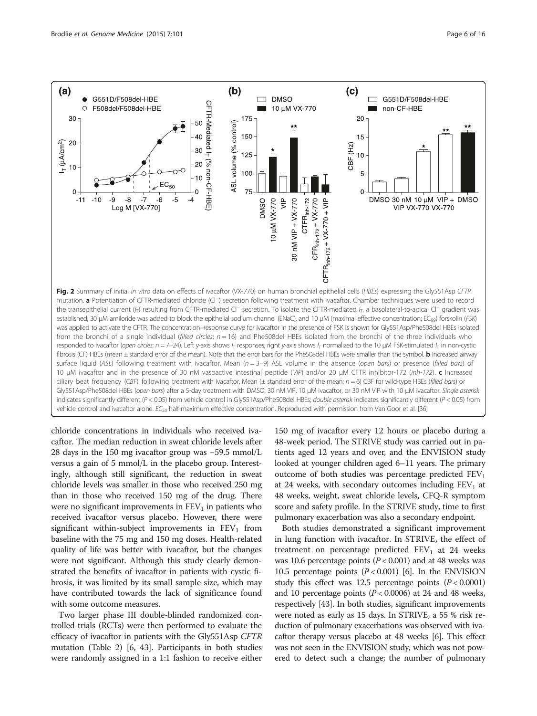

<span id="page-5-0"></span>

chloride concentrations in individuals who received ivacaftor. The median reduction in sweat chloride levels after 28 days in the 150 mg ivacaftor group was −59.5 mmol/L versus a gain of 5 mmol/L in the placebo group. Interestingly, although still significant, the reduction in sweat chloride levels was smaller in those who received 250 mg than in those who received 150 mg of the drug. There were no significant improvements in  $FEV<sub>1</sub>$  in patients who received ivacaftor versus placebo. However, there were significant within-subject improvements in  $FEV<sub>1</sub>$  from baseline with the 75 mg and 150 mg doses. Health-related quality of life was better with ivacaftor, but the changes were not significant. Although this study clearly demonstrated the benefits of ivacaftor in patients with cystic fibrosis, it was limited by its small sample size, which may have contributed towards the lack of significance found with some outcome measures.

Two larger phase III double-blinded randomized controlled trials (RCTs) were then performed to evaluate the efficacy of ivacaftor in patients with the Gly551Asp CFTR mutation (Table [2\)](#page-4-0) [[6](#page-13-0), [43\]](#page-14-0). Participants in both studies were randomly assigned in a 1:1 fashion to receive either

150 mg of ivacaftor every 12 hours or placebo during a 48-week period. The STRIVE study was carried out in patients aged 12 years and over, and the ENVISION study looked at younger children aged 6–11 years. The primary outcome of both studies was percentage predicted  $FEV<sub>1</sub>$ at 24 weeks, with secondary outcomes including  $FEV<sub>1</sub>$  at 48 weeks, weight, sweat chloride levels, CFQ-R symptom score and safety profile. In the STRIVE study, time to first pulmonary exacerbation was also a secondary endpoint.

Both studies demonstrated a significant improvement in lung function with ivacaftor. In STRIVE, the effect of treatment on percentage predicted  $FEV<sub>1</sub>$  at 24 weeks was 10.6 percentage points ( $P < 0.001$ ) and at 48 weeks was 10.5 percentage points  $(P < 0.001)$  [[6](#page-13-0)]. In the ENVISION study this effect was 12.5 percentage points  $(P < 0.0001)$ and 10 percentage points ( $P < 0.0006$ ) at 24 and 48 weeks, respectively [\[43\]](#page-14-0). In both studies, significant improvements were noted as early as 15 days. In STRIVE, a 55 % risk reduction of pulmonary exacerbations was observed with ivacaftor therapy versus placebo at 48 weeks [\[6\]](#page-13-0). This effect was not seen in the ENVISION study, which was not powered to detect such a change; the number of pulmonary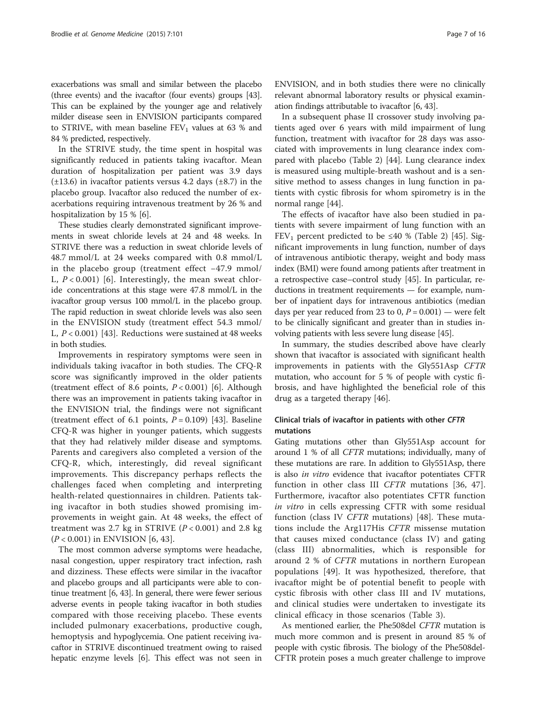exacerbations was small and similar between the placebo (three events) and the ivacaftor (four events) groups [\[43](#page-14-0)]. This can be explained by the younger age and relatively milder disease seen in ENVISION participants compared to STRIVE, with mean baseline  $FEV<sub>1</sub>$  values at 63 % and 84 % predicted, respectively.

In the STRIVE study, the time spent in hospital was significantly reduced in patients taking ivacaftor. Mean duration of hospitalization per patient was 3.9 days (±13.6) in ivacaftor patients versus 4.2 days (±8.7) in the placebo group. Ivacaftor also reduced the number of exacerbations requiring intravenous treatment by 26 % and hospitalization by 15 % [\[6](#page-13-0)].

These studies clearly demonstrated significant improvements in sweat chloride levels at 24 and 48 weeks. In STRIVE there was a reduction in sweat chloride levels of 48.7 mmol/L at 24 weeks compared with 0.8 mmol/L in the placebo group (treatment effect −47.9 mmol/ L,  $P < 0.001$ ) [[6\]](#page-13-0). Interestingly, the mean sweat chloride concentrations at this stage were 47.8 mmol/L in the ivacaftor group versus 100 mmol/L in the placebo group. The rapid reduction in sweat chloride levels was also seen in the ENVISION study (treatment effect 54.3 mmol/ L,  $P < 0.001$ ) [\[43](#page-14-0)]. Reductions were sustained at 48 weeks in both studies.

Improvements in respiratory symptoms were seen in individuals taking ivacaftor in both studies. The CFQ-R score was significantly improved in the older patients (treatment effect of 8.6 points,  $P < 0.001$ ) [[6\]](#page-13-0). Although there was an improvement in patients taking ivacaftor in the ENVISION trial, the findings were not significant (treatment effect of 6.1 points,  $P = 0.109$ ) [[43\]](#page-14-0). Baseline CFQ-R was higher in younger patients, which suggests that they had relatively milder disease and symptoms. Parents and caregivers also completed a version of the CFQ-R, which, interestingly, did reveal significant improvements. This discrepancy perhaps reflects the challenges faced when completing and interpreting health-related questionnaires in children. Patients taking ivacaftor in both studies showed promising improvements in weight gain. At 48 weeks, the effect of treatment was 2.7 kg in STRIVE  $(P < 0.001)$  and 2.8 kg  $(P < 0.001)$  in ENVISION [\[6](#page-13-0), [43](#page-14-0)].

The most common adverse symptoms were headache, nasal congestion, upper respiratory tract infection, rash and dizziness. These effects were similar in the ivacaftor and placebo groups and all participants were able to continue treatment [[6](#page-13-0), [43\]](#page-14-0). In general, there were fewer serious adverse events in people taking ivacaftor in both studies compared with those receiving placebo. These events included pulmonary exacerbations, productive cough, hemoptysis and hypoglycemia. One patient receiving ivacaftor in STRIVE discontinued treatment owing to raised hepatic enzyme levels [\[6](#page-13-0)]. This effect was not seen in ENVISION, and in both studies there were no clinically relevant abnormal laboratory results or physical examination findings attributable to ivacaftor [\[6](#page-13-0), [43\]](#page-14-0).

In a subsequent phase II crossover study involving patients aged over 6 years with mild impairment of lung function, treatment with ivacaftor for 28 days was associated with improvements in lung clearance index compared with placebo (Table [2](#page-4-0)) [\[44](#page-14-0)]. Lung clearance index is measured using multiple-breath washout and is a sensitive method to assess changes in lung function in patients with cystic fibrosis for whom spirometry is in the normal range [[44\]](#page-14-0).

The effects of ivacaftor have also been studied in patients with severe impairment of lung function with an FEV<sub>1</sub> percent predicted to be ≤40 % (Table [2\)](#page-4-0) [[45\]](#page-14-0). Significant improvements in lung function, number of days of intravenous antibiotic therapy, weight and body mass index (BMI) were found among patients after treatment in a retrospective case–control study [\[45\]](#page-14-0). In particular, reductions in treatment requirements — for example, number of inpatient days for intravenous antibiotics (median days per year reduced from 23 to 0,  $P = 0.001$ ) — were felt to be clinically significant and greater than in studies involving patients with less severe lung disease [[45](#page-14-0)].

In summary, the studies described above have clearly shown that ivacaftor is associated with significant health improvements in patients with the Gly551Asp CFTR mutation, who account for 5 % of people with cystic fibrosis, and have highlighted the beneficial role of this drug as a targeted therapy [[46\]](#page-14-0).

# Clinical trials of ivacaftor in patients with other CFTR mutations

Gating mutations other than Gly551Asp account for around 1 % of all CFTR mutations; individually, many of these mutations are rare. In addition to Gly551Asp, there is also in vitro evidence that ivacaftor potentiates CFTR function in other class III CFTR mutations [[36, 47](#page-14-0)]. Furthermore, ivacaftor also potentiates CFTR function in vitro in cells expressing CFTR with some residual function (class IV  $CFTR$  mutations) [\[48](#page-14-0)]. These mutations include the Arg117His CFTR missense mutation that causes mixed conductance (class IV) and gating (class III) abnormalities, which is responsible for around 2 % of CFTR mutations in northern European populations [[49\]](#page-14-0). It was hypothesized, therefore, that ivacaftor might be of potential benefit to people with cystic fibrosis with other class III and IV mutations, and clinical studies were undertaken to investigate its clinical efficacy in those scenarios (Table [3](#page-7-0)).

As mentioned earlier, the Phe508del CFTR mutation is much more common and is present in around 85 % of people with cystic fibrosis. The biology of the Phe508del-CFTR protein poses a much greater challenge to improve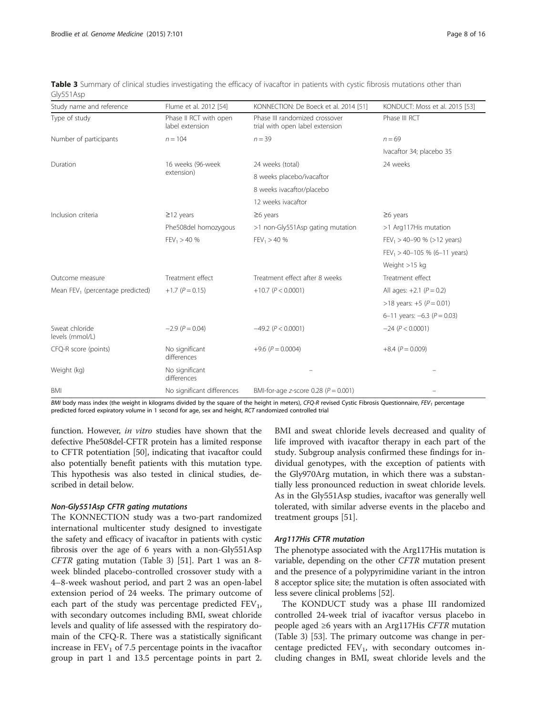<span id="page-7-0"></span>Table 3 Summary of clinical studies investigating the efficacy of ivacaftor in patients with cystic fibrosis mutations other than Gly551Asp

| Study name and reference                     | Flume et al. 2012 [54]                    | KONNECTION: De Boeck et al. 2014 [51]                             | KONDUCT: Moss et al. 2015 [53]    |
|----------------------------------------------|-------------------------------------------|-------------------------------------------------------------------|-----------------------------------|
| Type of study                                | Phase II RCT with open<br>label extension | Phase III randomized crossover<br>trial with open label extension | Phase III RCT                     |
| Number of participants                       | $n = 104$                                 | $n = 39$                                                          | $n = 69$                          |
|                                              |                                           |                                                                   | Ivacaftor 34; placebo 35          |
| Duration                                     | 16 weeks (96-week)<br>extension)          | 24 weeks (total)                                                  | 24 weeks                          |
|                                              |                                           | 8 weeks placebo/ivacaftor                                         |                                   |
|                                              |                                           | 8 weeks ivacaftor/placebo                                         |                                   |
|                                              |                                           | 12 weeks ivacaftor                                                |                                   |
| Inclusion criteria                           | $\geq$ 12 years                           | $\geq$ 6 years                                                    | $\geq$ 6 years                    |
|                                              | Phe508del homozygous                      | >1 non-Gly551Asp gating mutation                                  | >1 Arg117His mutation             |
|                                              | $FEV_1 > 40 \%$                           | $FEV_1 > 40 \%$                                                   | $FEV_1 > 40-90$ % (>12 years)     |
|                                              |                                           |                                                                   | $FEV_1 > 40-105$ % (6-11 years)   |
|                                              |                                           |                                                                   | Weight >15 kg                     |
| Outcome measure                              | Treatment effect                          | Treatment effect after 8 weeks                                    | Treatment effect                  |
| Mean FEV <sub>1</sub> (percentage predicted) | $+1.7$ ( $P = 0.15$ )                     | $+10.7$ ( $P < 0.0001$ )                                          | All ages: $+2.1$ ( $P = 0.2$ )    |
|                                              |                                           |                                                                   | >18 years: +5 ( $P = 0.01$ )      |
|                                              |                                           |                                                                   | 6-11 years: $-6.3$ ( $P = 0.03$ ) |
| Sweat chloride<br>levels (mmol/L)            | $-2.9$ ( $P = 0.04$ )                     | $-49.2$ ( $P < 0.0001$ )                                          | $-24 (P < 0.0001)$                |
| CFQ-R score (points)                         | No significant<br>differences             | $+9.6$ ( $P = 0.0004$ )                                           | $+8.4$ ( $P = 0.009$ )            |
| Weight (kg)                                  | No significant<br>differences             |                                                                   |                                   |
| <b>BMI</b>                                   | No significant differences                | BMI-for-age z-score 0.28 ( $P = 0.001$ )                          |                                   |

BMI body mass index (the weight in kilograms divided by the square of the height in meters), CFQ-R revised Cystic Fibrosis Questionnaire, FEV<sub>1</sub> percentage predicted forced expiratory volume in 1 second for age, sex and height, RCT randomized controlled trial

function. However, in vitro studies have shown that the defective Phe508del-CFTR protein has a limited response to CFTR potentiation [[50](#page-14-0)], indicating that ivacaftor could also potentially benefit patients with this mutation type. This hypothesis was also tested in clinical studies, described in detail below.

# Non-Gly551Asp CFTR gating mutations

The KONNECTION study was a two-part randomized international multicenter study designed to investigate the safety and efficacy of ivacaftor in patients with cystic fibrosis over the age of 6 years with a non-Gly551Asp CFTR gating mutation (Table 3) [[51\]](#page-14-0). Part 1 was an 8 week blinded placebo-controlled crossover study with a 4–8-week washout period, and part 2 was an open-label extension period of 24 weeks. The primary outcome of each part of the study was percentage predicted  $FEV_1$ , with secondary outcomes including BMI, sweat chloride levels and quality of life assessed with the respiratory domain of the CFQ-R. There was a statistically significant increase in  $FEV<sub>1</sub>$  of 7.5 percentage points in the ivacaftor group in part 1 and 13.5 percentage points in part 2.

BMI and sweat chloride levels decreased and quality of life improved with ivacaftor therapy in each part of the study. Subgroup analysis confirmed these findings for individual genotypes, with the exception of patients with the Gly970Arg mutation, in which there was a substantially less pronounced reduction in sweat chloride levels. As in the Gly551Asp studies, ivacaftor was generally well tolerated, with similar adverse events in the placebo and treatment groups [[51](#page-14-0)].

#### Arg117His CFTR mutation

The phenotype associated with the Arg117His mutation is variable, depending on the other CFTR mutation present and the presence of a polypyrimidine variant in the intron 8 acceptor splice site; the mutation is often associated with less severe clinical problems [[52](#page-14-0)].

The KONDUCT study was a phase III randomized controlled 24-week trial of ivacaftor versus placebo in people aged ≥6 years with an Arg117His *CFTR* mutation (Table 3) [[53\]](#page-14-0). The primary outcome was change in percentage predicted  $FEV<sub>1</sub>$ , with secondary outcomes including changes in BMI, sweat chloride levels and the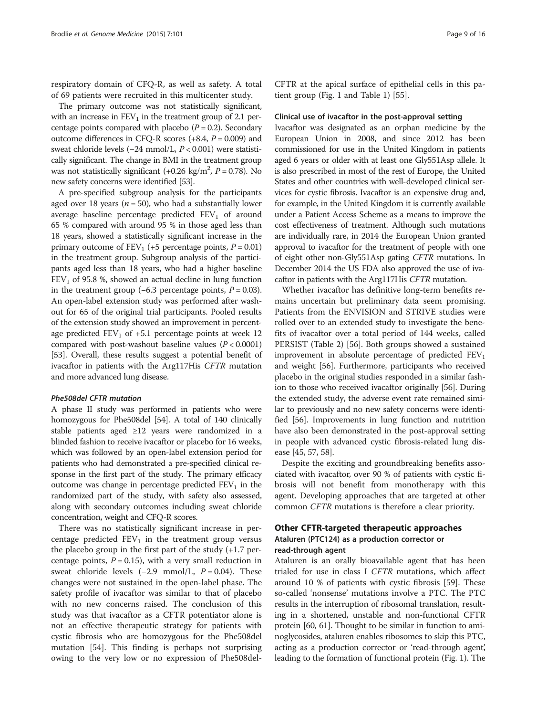respiratory domain of CFQ-R, as well as safety. A total of 69 patients were recruited in this multicenter study.

The primary outcome was not statistically significant, with an increase in  $FEV<sub>1</sub>$  in the treatment group of 2.1 percentage points compared with placebo  $(P = 0.2)$ . Secondary outcome differences in CFQ-R scores  $(+8.4, P = 0.009)$  and sweat chloride levels (−24 mmol/L, P < 0.001) were statistically significant. The change in BMI in the treatment group was not statistically significant  $(+0.26 \text{ kg/m}^2, P = 0.78)$ . No new safety concerns were identified [[53](#page-14-0)].

A pre-specified subgroup analysis for the participants aged over 18 years ( $n = 50$ ), who had a substantially lower average baseline percentage predicted  $FEV<sub>1</sub>$  of around 65 % compared with around 95 % in those aged less than 18 years, showed a statistically significant increase in the primary outcome of  $FEV_1$  (+5 percentage points,  $P = 0.01$ ) in the treatment group. Subgroup analysis of the participants aged less than 18 years, who had a higher baseline  $FEV<sub>1</sub>$  of 95.8 %, showed an actual decline in lung function in the treatment group  $(-6.3 \text{ percentage points}, P = 0.03)$ . An open-label extension study was performed after washout for 65 of the original trial participants. Pooled results of the extension study showed an improvement in percentage predicted  $FEV_1$  of  $+5.1$  percentage points at week 12 compared with post-washout baseline values  $(P < 0.0001)$ [[53](#page-14-0)]. Overall, these results suggest a potential benefit of ivacaftor in patients with the Arg117His CFTR mutation and more advanced lung disease.

#### Phe508del CFTR mutation

A phase II study was performed in patients who were homozygous for Phe508del [\[54\]](#page-14-0). A total of 140 clinically stable patients aged ≥12 years were randomized in a blinded fashion to receive ivacaftor or placebo for 16 weeks, which was followed by an open-label extension period for patients who had demonstrated a pre-specified clinical response in the first part of the study. The primary efficacy outcome was change in percentage predicted  $FEV<sub>1</sub>$  in the randomized part of the study, with safety also assessed, along with secondary outcomes including sweat chloride concentration, weight and CFQ-R scores.

There was no statistically significant increase in percentage predicted  $FEV<sub>1</sub>$  in the treatment group versus the placebo group in the first part of the study (+1.7 percentage points,  $P = 0.15$ ), with a very small reduction in sweat chloride levels  $(-2.9 \text{ mmol/L}, P = 0.04)$ . These changes were not sustained in the open-label phase. The safety profile of ivacaftor was similar to that of placebo with no new concerns raised. The conclusion of this study was that ivacaftor as a CFTR potentiator alone is not an effective therapeutic strategy for patients with cystic fibrosis who are homozygous for the Phe508del mutation [[54\]](#page-14-0). This finding is perhaps not surprising owing to the very low or no expression of Phe508del-

CFTR at the apical surface of epithelial cells in this patient group (Fig. [1](#page-1-0) and Table [1\)](#page-2-0) [\[55\]](#page-14-0).

#### Clinical use of ivacaftor in the post-approval setting

Ivacaftor was designated as an orphan medicine by the European Union in 2008, and since 2012 has been commissioned for use in the United Kingdom in patients aged 6 years or older with at least one Gly551Asp allele. It is also prescribed in most of the rest of Europe, the United States and other countries with well-developed clinical services for cystic fibrosis. Ivacaftor is an expensive drug and, for example, in the United Kingdom it is currently available under a Patient Access Scheme as a means to improve the cost effectiveness of treatment. Although such mutations are individually rare, in 2014 the European Union granted approval to ivacaftor for the treatment of people with one of eight other non-Gly551Asp gating CFTR mutations. In December 2014 the US FDA also approved the use of ivacaftor in patients with the Arg117His CFTR mutation.

Whether ivacaftor has definitive long-term benefits remains uncertain but preliminary data seem promising. Patients from the ENVISION and STRIVE studies were rolled over to an extended study to investigate the benefits of ivacaftor over a total period of 144 weeks, called PERSIST (Table [2](#page-4-0)) [[56](#page-14-0)]. Both groups showed a sustained improvement in absolute percentage of predicted  $FEV<sub>1</sub>$ and weight [\[56\]](#page-14-0). Furthermore, participants who received placebo in the original studies responded in a similar fashion to those who received ivacaftor originally [\[56](#page-14-0)]. During the extended study, the adverse event rate remained similar to previously and no new safety concerns were identified [\[56\]](#page-14-0). Improvements in lung function and nutrition have also been demonstrated in the post-approval setting in people with advanced cystic fibrosis-related lung disease [\[45, 57](#page-14-0), [58](#page-14-0)].

Despite the exciting and groundbreaking benefits associated with ivacaftor, over 90 % of patients with cystic fibrosis will not benefit from monotherapy with this agent. Developing approaches that are targeted at other common CFTR mutations is therefore a clear priority.

# Other CFTR-targeted therapeutic approaches Ataluren (PTC124) as a production corrector or read-through agent

Ataluren is an orally bioavailable agent that has been trialed for use in class I CFTR mutations, which affect around 10 % of patients with cystic fibrosis [\[59\]](#page-14-0). These so-called 'nonsense' mutations involve a PTC. The PTC results in the interruption of ribosomal translation, resulting in a shortened, unstable and non-functional CFTR protein [[60](#page-14-0), [61\]](#page-14-0). Thought to be similar in function to aminoglycosides, ataluren enables ribosomes to skip this PTC, acting as a production corrector or 'read-through agent', leading to the formation of functional protein (Fig. [1\)](#page-1-0). The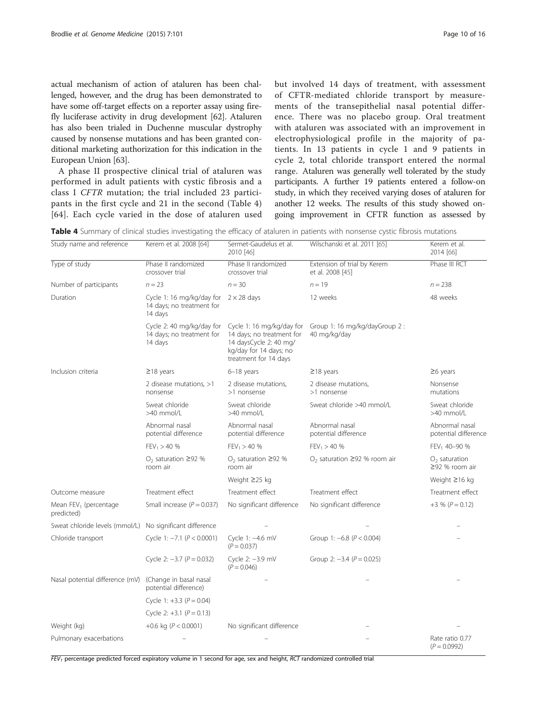actual mechanism of action of ataluren has been challenged, however, and the drug has been demonstrated to have some off-target effects on a reporter assay using firefly luciferase activity in drug development [[62](#page-14-0)]. Ataluren has also been trialed in Duchenne muscular dystrophy caused by nonsense mutations and has been granted conditional marketing authorization for this indication in the European Union [[63](#page-14-0)].

A phase II prospective clinical trial of ataluren was performed in adult patients with cystic fibrosis and a class I CFTR mutation; the trial included 23 participants in the first cycle and 21 in the second (Table 4) [[64](#page-14-0)]. Each cycle varied in the dose of ataluren used but involved 14 days of treatment, with assessment of CFTR-mediated chloride transport by measurements of the transepithelial nasal potential difference. There was no placebo group. Oral treatment with ataluren was associated with an improvement in electrophysiological profile in the majority of patients. In 13 patients in cycle 1 and 9 patients in cycle 2, total chloride transport entered the normal range. Ataluren was generally well tolerated by the study participants. A further 19 patients entered a follow-on study, in which they received varying doses of ataluren for another 12 weeks. The results of this study showed ongoing improvement in CFTR function as assessed by

Table 4 Summary of clinical studies investigating the efficacy of ataluren in patients with nonsense cystic fibrosis mutations

| Study name and reference                        | Kerem et al. 2008 [64]                                            | Sermet-Gaudelus et al.<br>2010 [46]                                                                                                 | Wilschanski et al. 2011 [65]                    | Kerem et al.<br>2014 [66]               |
|-------------------------------------------------|-------------------------------------------------------------------|-------------------------------------------------------------------------------------------------------------------------------------|-------------------------------------------------|-----------------------------------------|
| Type of study                                   | Phase II randomized<br>crossover trial                            | Phase II randomized<br>crossover trial                                                                                              | Extension of trial by Kerem<br>et al. 2008 [45] | Phase III RCT                           |
| Number of participants                          | $n = 23$                                                          | $n = 30$                                                                                                                            | $n = 19$                                        | $n = 238$                               |
| Duration                                        | Cycle 1: 16 mg/kg/day for<br>14 days; no treatment for<br>14 days | $2 \times 28$ days                                                                                                                  | 12 weeks                                        | 48 weeks                                |
|                                                 | Cycle 2: 40 mg/kg/day for<br>14 days; no treatment for<br>14 days | Cycle 1: 16 mg/kg/day for<br>14 days; no treatment for<br>14 daysCycle 2: 40 mg/<br>kg/day for 14 days; no<br>treatment for 14 days | Group 1: 16 mg/kg/dayGroup 2 :<br>40 mg/kg/day  |                                         |
| Inclusion criteria                              | $\geq$ 18 years                                                   | $6-18$ years                                                                                                                        | $\geq$ 18 years                                 | $\geq$ 6 years                          |
|                                                 | 2 disease mutations, >1<br>nonsense                               | 2 disease mutations,<br>>1 nonsense                                                                                                 | 2 disease mutations,<br>>1 nonsense             | Nonsense<br>mutations                   |
|                                                 | Sweat chloride<br>>40 mmol/L                                      | Sweat chloride<br>>40 mmol/L                                                                                                        | Sweat chloride >40 mmol/L                       | Sweat chloride<br>>40 mmol/L            |
|                                                 | Abnormal nasal<br>potential difference                            | Abnormal nasal<br>potential difference                                                                                              | Abnormal nasal<br>potential difference          | Abnormal nasal<br>potential difference  |
|                                                 | $FEV_1 > 40%$                                                     | $FEV_1 > 40 %$                                                                                                                      | $FEV_1 > 40%$                                   | FEV <sub>1</sub> 40-90 %                |
|                                                 | O <sub>2</sub> saturation $\geq$ 92 %<br>room air                 | $O2$ saturation $\geq$ 92 %<br>room air                                                                                             | O <sub>2</sub> saturation $\geq$ 92 % room air  | $O2$ saturation<br>$\geq$ 92 % room air |
|                                                 |                                                                   | Weight ≥25 kg                                                                                                                       |                                                 | Weight ≥16 kg                           |
| Outcome measure                                 | Treatment effect                                                  | Treatment effect                                                                                                                    | Treatment effect                                | Treatment effect                        |
| Mean FEV <sub>1</sub> (percentage<br>predicted) | Small increase ( $P = 0.037$ )                                    | No significant difference                                                                                                           | No significant difference                       | $+3$ % ( $P = 0.12$ )                   |
| Sweat chloride levels (mmol/L)                  | No significant difference                                         |                                                                                                                                     |                                                 |                                         |
| Chloride transport                              | Cycle 1: $-7.1$ ( $P < 0.0001$ )                                  | Cycle 1: -4.6 mV<br>$(P = 0.037)$                                                                                                   | Group 1: $-6.8$ ( $P < 0.004$ )                 |                                         |
|                                                 | Cycle 2: $-3.7 (P = 0.032)$                                       | Cycle 2: -3.9 mV<br>$(P = 0.046)$                                                                                                   | Group 2: $-3.4$ ( $P = 0.025$ )                 |                                         |
| Nasal potential difference (mV)                 | (Change in basal nasal<br>potential difference)                   |                                                                                                                                     |                                                 |                                         |
|                                                 | Cycle 1: $+3.3$ ( $P = 0.04$ )                                    |                                                                                                                                     |                                                 |                                         |
|                                                 | Cycle 2: $+3.1$ ( $P = 0.13$ )                                    |                                                                                                                                     |                                                 |                                         |
| Weight (kg)                                     | +0.6 kg ( $P < 0.0001$ )                                          | No significant difference                                                                                                           |                                                 |                                         |
| Pulmonary exacerbations                         |                                                                   |                                                                                                                                     |                                                 | Rate ratio 0.77<br>$(P = 0.0992)$       |

 $FEV<sub>1</sub>$  percentage predicted forced expiratory volume in 1 second for age, sex and height, RCT randomized controlled trial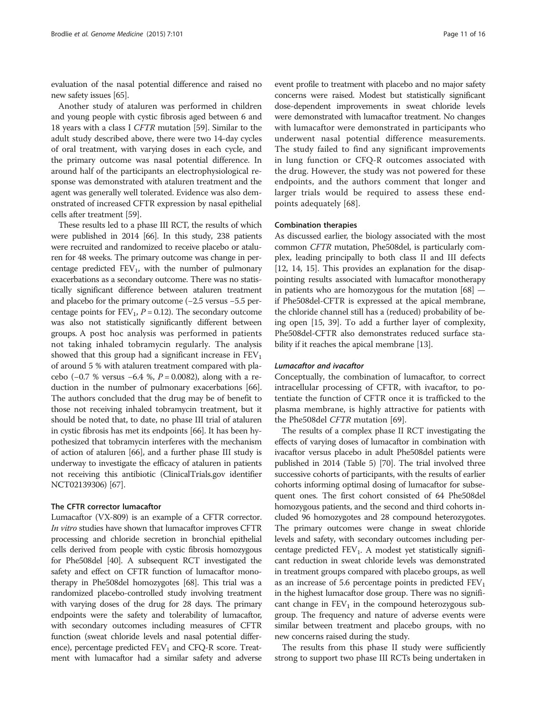evaluation of the nasal potential difference and raised no new safety issues [[65](#page-14-0)].

Another study of ataluren was performed in children and young people with cystic fibrosis aged between 6 and 18 years with a class I CFTR mutation [[59](#page-14-0)]. Similar to the adult study described above, there were two 14-day cycles of oral treatment, with varying doses in each cycle, and the primary outcome was nasal potential difference. In around half of the participants an electrophysiological response was demonstrated with ataluren treatment and the agent was generally well tolerated. Evidence was also demonstrated of increased CFTR expression by nasal epithelial cells after treatment [\[59\]](#page-14-0).

These results led to a phase III RCT, the results of which were published in 2014 [[66](#page-14-0)]. In this study, 238 patients were recruited and randomized to receive placebo or ataluren for 48 weeks. The primary outcome was change in percentage predicted  $FEV_1$ , with the number of pulmonary exacerbations as a secondary outcome. There was no statistically significant difference between ataluren treatment and placebo for the primary outcome (−2.5 versus −5.5 percentage points for  $FEV_1$ ,  $P = 0.12$ ). The secondary outcome was also not statistically significantly different between groups. A post hoc analysis was performed in patients not taking inhaled tobramycin regularly. The analysis showed that this group had a significant increase in  $FEV<sub>1</sub>$ of around 5 % with ataluren treatment compared with placebo (−0.7 % versus −6.4 %,  $P = 0.0082$ ), along with a reduction in the number of pulmonary exacerbations [[66](#page-14-0)]. The authors concluded that the drug may be of benefit to those not receiving inhaled tobramycin treatment, but it should be noted that, to date, no phase III trial of ataluren in cystic fibrosis has met its endpoints [[66](#page-14-0)]. It has been hypothesized that tobramycin interferes with the mechanism of action of ataluren [[66](#page-14-0)], and a further phase III study is underway to investigate the efficacy of ataluren in patients not receiving this antibiotic (ClinicalTrials.gov identifier NCT02139306) [\[67\]](#page-14-0).

# The CFTR corrector lumacaftor

Lumacaftor (VX-809) is an example of a CFTR corrector. In vitro studies have shown that lumacaftor improves CFTR processing and chloride secretion in bronchial epithelial cells derived from people with cystic fibrosis homozygous for Phe508del [[40](#page-14-0)]. A subsequent RCT investigated the safety and effect on CFTR function of lumacaftor monotherapy in Phe508del homozygotes [\[68\]](#page-15-0). This trial was a randomized placebo-controlled study involving treatment with varying doses of the drug for 28 days. The primary endpoints were the safety and tolerability of lumacaftor, with secondary outcomes including measures of CFTR function (sweat chloride levels and nasal potential difference), percentage predicted  $FEV_1$  and  $CFQ-R$  score. Treatment with lumacaftor had a similar safety and adverse

event profile to treatment with placebo and no major safety concerns were raised. Modest but statistically significant dose-dependent improvements in sweat chloride levels were demonstrated with lumacaftor treatment. No changes with lumacaftor were demonstrated in participants who underwent nasal potential difference measurements. The study failed to find any significant improvements in lung function or CFQ-R outcomes associated with the drug. However, the study was not powered for these endpoints, and the authors comment that longer and larger trials would be required to assess these endpoints adequately [\[68](#page-15-0)].

### Combination therapies

As discussed earlier, the biology associated with the most common CFTR mutation, Phe508del, is particularly complex, leading principally to both class II and III defects [[12](#page-13-0), [14](#page-13-0), [15](#page-13-0)]. This provides an explanation for the disappointing results associated with lumacaftor monotherapy in patients who are homozygous for the mutation [[68](#page-15-0)] if Phe508del-CFTR is expressed at the apical membrane, the chloride channel still has a (reduced) probability of being open [\[15,](#page-13-0) [39\]](#page-14-0). To add a further layer of complexity, Phe508del-CFTR also demonstrates reduced surface stability if it reaches the apical membrane [\[13\]](#page-13-0).

### Lumacaftor and ivacaftor

Conceptually, the combination of lumacaftor, to correct intracellular processing of CFTR, with ivacaftor, to potentiate the function of CFTR once it is trafficked to the plasma membrane, is highly attractive for patients with the Phe508del CFTR mutation [[69\]](#page-15-0).

The results of a complex phase II RCT investigating the effects of varying doses of lumacaftor in combination with ivacaftor versus placebo in adult Phe508del patients were published in 2014 (Table [5](#page-11-0)) [\[70](#page-15-0)]. The trial involved three successive cohorts of participants, with the results of earlier cohorts informing optimal dosing of lumacaftor for subsequent ones. The first cohort consisted of 64 Phe508del homozygous patients, and the second and third cohorts included 96 homozygotes and 28 compound heterozygotes. The primary outcomes were change in sweat chloride levels and safety, with secondary outcomes including percentage predicted  $FEV_1$ . A modest yet statistically significant reduction in sweat chloride levels was demonstrated in treatment groups compared with placebo groups, as well as an increase of 5.6 percentage points in predicted  $FEV<sub>1</sub>$ in the highest lumacaftor dose group. There was no significant change in  $FEV<sub>1</sub>$  in the compound heterozygous subgroup. The frequency and nature of adverse events were similar between treatment and placebo groups, with no new concerns raised during the study.

The results from this phase II study were sufficiently strong to support two phase III RCTs being undertaken in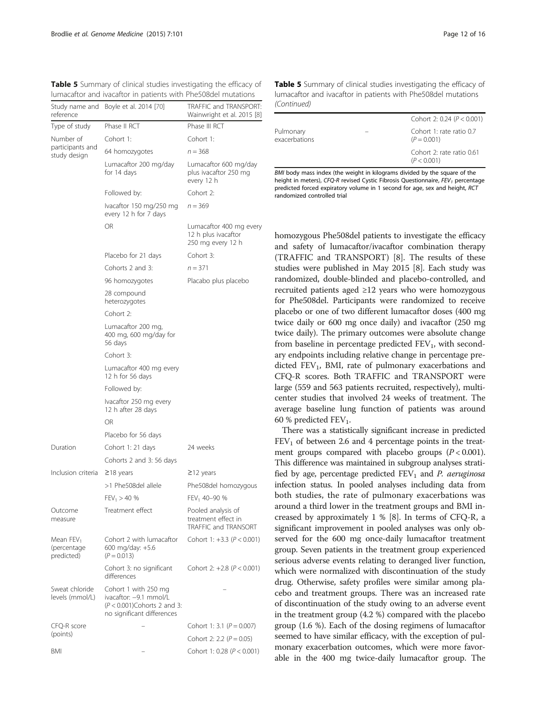<span id="page-11-0"></span>Table 5 Summary of clinical studies investigating the efficacy of lumacaftor and ivacaftor in patients with Phe508del mutations

| Study name and<br>reference              | Boyle et al. 2014 [70]                                                                                         | TRAFFIC and TRANSPORT:<br>Wainwright et al. 2015 [8]                |
|------------------------------------------|----------------------------------------------------------------------------------------------------------------|---------------------------------------------------------------------|
| Type of study                            | Phase II RCT                                                                                                   | Phase III RCT                                                       |
| Number of                                | Cohort 1:                                                                                                      | Cohort 1:                                                           |
| participants and<br>study design         | 64 homozygotes                                                                                                 | $n = 368$                                                           |
|                                          | Lumacaftor 200 mg/day<br>for 14 days                                                                           | Lumacaftor 600 mg/day<br>plus ivacaftor 250 mg<br>every 12 h        |
|                                          | Followed by:                                                                                                   | Cohort 2:                                                           |
|                                          | lvacaftor 150 mg/250 mg<br>every 12 h for 7 days                                                               | $n = 369$                                                           |
|                                          | OR                                                                                                             | Lumacaftor 400 mg every<br>12 h plus ivacaftor<br>250 mg every 12 h |
|                                          | Placebo for 21 days                                                                                            | Cohort 3:                                                           |
|                                          | Cohorts 2 and 3:                                                                                               | $n = 371$                                                           |
|                                          | 96 homozygotes                                                                                                 | Placabo plus placebo                                                |
|                                          | 28 compound<br>heterozygotes                                                                                   |                                                                     |
|                                          | Cohort 2:                                                                                                      |                                                                     |
|                                          | Lumacaftor 200 mg,<br>400 mg, 600 mg/day for<br>56 days                                                        |                                                                     |
|                                          | Cohort 3:                                                                                                      |                                                                     |
|                                          | Lumacaftor 400 mg every<br>12 h for 56 days                                                                    |                                                                     |
|                                          | Followed by:                                                                                                   |                                                                     |
|                                          | Ivacaftor 250 mg every<br>12 h after 28 days                                                                   |                                                                     |
|                                          | OR                                                                                                             |                                                                     |
|                                          | Placebo for 56 days                                                                                            |                                                                     |
| Duration                                 | Cohort 1: 21 days                                                                                              | 24 weeks                                                            |
|                                          | Cohorts 2 and 3: 56 days                                                                                       |                                                                     |
| Inclusion criteria                       | $\geq$ 18 years                                                                                                | $\geq$ 12 years                                                     |
|                                          | >1 Phe508del allele                                                                                            | Phe508del homozygous                                                |
|                                          | $FEV_1 > 40 \%$                                                                                                | FEV <sub>1</sub> 40-90 %                                            |
| Outcome<br>measure                       | Treatment effect                                                                                               | Pooled analysis of<br>treatment effect in<br>TRAFFIC and TRANSORT   |
| Mean $FEV1$<br>(percentage<br>predicted) | Cohort 2 with lumacaftor<br>600 mg/day: +5.6<br>$(P = 0.013)$                                                  | Cohort 1: $+3.3$ ( $P < 0.001$ )                                    |
|                                          | Cohort 3: no significant<br>differences                                                                        | Cohort 2: $+2.8$ ( $P < 0.001$ )                                    |
| Sweat chloride<br>levels (mmol/L)        | Cohort 1 with 250 mg<br>ivacaftor: -9.1 mmol/L<br>$(P < 0.001)$ Cohorts 2 and 3:<br>no significant differences |                                                                     |
| CFQ-R score                              |                                                                                                                | Cohort 1: 3.1 ( $P = 0.007$ )                                       |
| (points)                                 |                                                                                                                | Cohort 2: 2.2 ( $P = 0.05$ )                                        |
| BMI                                      |                                                                                                                | Cohort 1: 0.28 ( $P < 0.001$ )                                      |

Table 5 Summary of clinical studies investigating the efficacy of lumacaftor and ivacaftor in patients with Phe508del mutations (Continued)

|                            | Cohort 2: 0.24 ( $P < 0.001$ )            |
|----------------------------|-------------------------------------------|
| Pulmonary<br>exacerbations | Cohort 1: rate ratio 0.7<br>$(P = 0.001)$ |
|                            | Cohort 2: rate ratio 0.61<br>(P < 0.001)  |

BMI body mass index (the weight in kilograms divided by the square of the height in meters), CFQ-R revised Cystic Fibrosis Questionnaire, FEV<sub>1</sub> percentage predicted forced expiratory volume in 1 second for age, sex and height, RCT randomized controlled trial

homozygous Phe508del patients to investigate the efficacy and safety of lumacaftor/ivacaftor combination therapy (TRAFFIC and TRANSPORT) [\[8](#page-13-0)]. The results of these studies were published in May 2015 [\[8](#page-13-0)]. Each study was randomized, double-blinded and placebo-controlled, and recruited patients aged ≥12 years who were homozygous for Phe508del. Participants were randomized to receive placebo or one of two different lumacaftor doses (400 mg twice daily or 600 mg once daily) and ivacaftor (250 mg twice daily). The primary outcomes were absolute change from baseline in percentage predicted  $FEV<sub>1</sub>$ , with secondary endpoints including relative change in percentage predicted  $FEV<sub>1</sub>$ , BMI, rate of pulmonary exacerbations and CFQ-R scores. Both TRAFFIC and TRANSPORT were large (559 and 563 patients recruited, respectively), multicenter studies that involved 24 weeks of treatment. The average baseline lung function of patients was around 60 % predicted  $FEV_1$ .

There was a statistically significant increase in predicted  $FEV<sub>1</sub>$  of between 2.6 and 4 percentage points in the treatment groups compared with placebo groups  $(P < 0.001)$ . This difference was maintained in subgroup analyses stratified by age, percentage predicted  $FEV_1$  and P. aeruginosa infection status. In pooled analyses including data from both studies, the rate of pulmonary exacerbations was around a third lower in the treatment groups and BMI increased by approximately 1 % [[8\]](#page-13-0). In terms of CFQ-R, a significant improvement in pooled analyses was only observed for the 600 mg once-daily lumacaftor treatment group. Seven patients in the treatment group experienced serious adverse events relating to deranged liver function, which were normalized with discontinuation of the study drug. Otherwise, safety profiles were similar among placebo and treatment groups. There was an increased rate of discontinuation of the study owing to an adverse event in the treatment group (4.2 %) compared with the placebo group (1.6 %). Each of the dosing regimens of lumacaftor seemed to have similar efficacy, with the exception of pulmonary exacerbation outcomes, which were more favorable in the 400 mg twice-daily lumacaftor group. The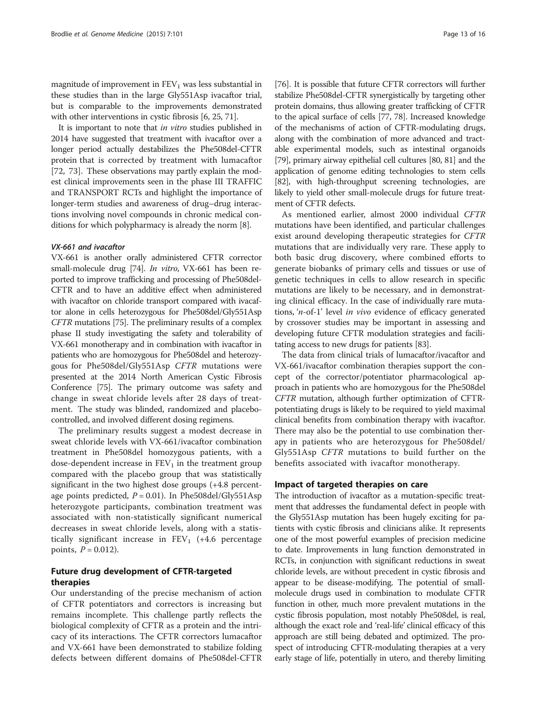magnitude of improvement in  $FEV<sub>1</sub>$  was less substantial in these studies than in the large Gly551Asp ivacaftor trial, but is comparable to the improvements demonstrated with other interventions in cystic fibrosis [[6,](#page-13-0) [25,](#page-14-0) [71](#page-15-0)].

It is important to note that in vitro studies published in 2014 have suggested that treatment with ivacaftor over a longer period actually destabilizes the Phe508del-CFTR protein that is corrected by treatment with lumacaftor [[72, 73](#page-15-0)]. These observations may partly explain the modest clinical improvements seen in the phase III TRAFFIC and TRANSPORT RCTs and highlight the importance of longer-term studies and awareness of drug–drug interactions involving novel compounds in chronic medical conditions for which polypharmacy is already the norm [[8\]](#page-13-0).

#### VX-661 and ivacaftor

VX-661 is another orally administered CFTR corrector small-molecule drug [\[74](#page-15-0)]. In vitro, VX-661 has been reported to improve trafficking and processing of Phe508del-CFTR and to have an additive effect when administered with ivacaftor on chloride transport compared with ivacaftor alone in cells heterozygous for Phe508del/Gly551Asp CFTR mutations [\[75](#page-15-0)]. The preliminary results of a complex phase II study investigating the safety and tolerability of VX-661 monotherapy and in combination with ivacaftor in patients who are homozygous for Phe508del and heterozygous for Phe508del/Gly551Asp CFTR mutations were presented at the 2014 North American Cystic Fibrosis Conference [\[75\]](#page-15-0). The primary outcome was safety and change in sweat chloride levels after 28 days of treatment. The study was blinded, randomized and placebocontrolled, and involved different dosing regimens.

The preliminary results suggest a modest decrease in sweat chloride levels with VX-661/ivacaftor combination treatment in Phe508del homozygous patients, with a dose-dependent increase in  $FEV<sub>1</sub>$  in the treatment group compared with the placebo group that was statistically significant in the two highest dose groups (+4.8 percentage points predicted,  $P = 0.01$ ). In Phe508del/Gly551Asp heterozygote participants, combination treatment was associated with non-statistically significant numerical decreases in sweat chloride levels, along with a statistically significant increase in  $FEV_1$  (+4.6 percentage points,  $P = 0.012$ ).

# Future drug development of CFTR-targeted therapies

Our understanding of the precise mechanism of action of CFTR potentiators and correctors is increasing but remains incomplete. This challenge partly reflects the biological complexity of CFTR as a protein and the intricacy of its interactions. The CFTR correctors lumacaftor and VX-661 have been demonstrated to stabilize folding defects between different domains of Phe508del-CFTR

[[76\]](#page-15-0). It is possible that future CFTR correctors will further stabilize Phe508del-CFTR synergistically by targeting other protein domains, thus allowing greater trafficking of CFTR to the apical surface of cells [[77](#page-15-0), [78\]](#page-15-0). Increased knowledge of the mechanisms of action of CFTR-modulating drugs, along with the combination of more advanced and tractable experimental models, such as intestinal organoids [[79](#page-15-0)], primary airway epithelial cell cultures [\[80](#page-15-0), [81\]](#page-15-0) and the application of genome editing technologies to stem cells [[82](#page-15-0)], with high-throughput screening technologies, are likely to yield other small-molecule drugs for future treatment of CFTR defects.

As mentioned earlier, almost 2000 individual CFTR mutations have been identified, and particular challenges exist around developing therapeutic strategies for CFTR mutations that are individually very rare. These apply to both basic drug discovery, where combined efforts to generate biobanks of primary cells and tissues or use of genetic techniques in cells to allow research in specific mutations are likely to be necessary, and in demonstrating clinical efficacy. In the case of individually rare mutations, 'n-of-1' level in vivo evidence of efficacy generated by crossover studies may be important in assessing and developing future CFTR modulation strategies and facilitating access to new drugs for patients [\[83](#page-15-0)].

The data from clinical trials of lumacaftor/ivacaftor and VX-661/ivacaftor combination therapies support the concept of the corrector/potentiator pharmacological approach in patients who are homozygous for the Phe508del CFTR mutation, although further optimization of CFTRpotentiating drugs is likely to be required to yield maximal clinical benefits from combination therapy with ivacaftor. There may also be the potential to use combination therapy in patients who are heterozygous for Phe508del/ Gly551Asp CFTR mutations to build further on the benefits associated with ivacaftor monotherapy.

#### Impact of targeted therapies on care

The introduction of ivacaftor as a mutation-specific treatment that addresses the fundamental defect in people with the Gly551Asp mutation has been hugely exciting for patients with cystic fibrosis and clinicians alike. It represents one of the most powerful examples of precision medicine to date. Improvements in lung function demonstrated in RCTs, in conjunction with significant reductions in sweat chloride levels, are without precedent in cystic fibrosis and appear to be disease-modifying. The potential of smallmolecule drugs used in combination to modulate CFTR function in other, much more prevalent mutations in the cystic fibrosis population, most notably Phe508del, is real, although the exact role and 'real-life' clinical efficacy of this approach are still being debated and optimized. The prospect of introducing CFTR-modulating therapies at a very early stage of life, potentially in utero, and thereby limiting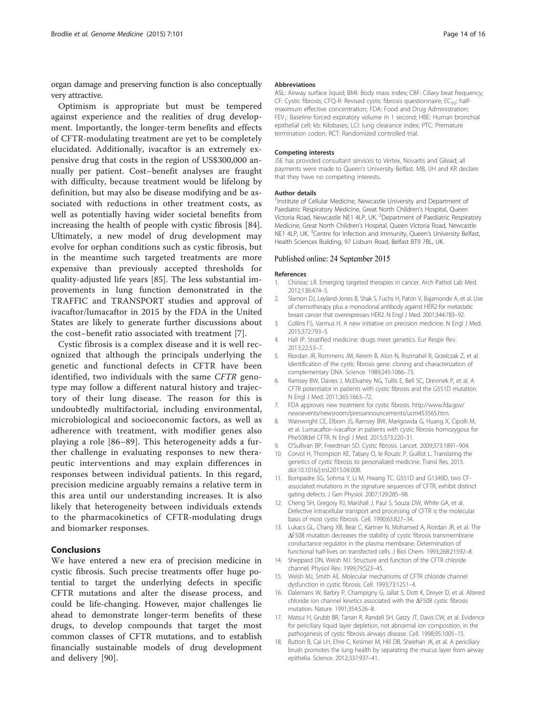<span id="page-13-0"></span>organ damage and preserving function is also conceptually very attractive.

Optimism is appropriate but must be tempered against experience and the realities of drug development. Importantly, the longer-term benefits and effects of CFTR-modulating treatment are yet to be completely elucidated. Additionally, ivacaftor is an extremely expensive drug that costs in the region of US\$300,000 annually per patient. Cost–benefit analyses are fraught with difficulty, because treatment would be lifelong by definition, but may also be disease modifying and be associated with reductions in other treatment costs, as well as potentially having wider societal benefits from increasing the health of people with cystic fibrosis [\[84](#page-15-0)]. Ultimately, a new model of drug development may evolve for orphan conditions such as cystic fibrosis, but in the meantime such targeted treatments are more expensive than previously accepted thresholds for quality-adjusted life years [[85\]](#page-15-0). The less substantial improvements in lung function demonstrated in the TRAFFIC and TRANSPORT studies and approval of ivacaftor/lumacaftor in 2015 by the FDA in the United States are likely to generate further discussions about the cost–benefit ratio associated with treatment [7].

Cystic fibrosis is a complex disease and it is well recognized that although the principals underlying the genetic and functional defects in CFTR have been identified, two individuals with the same CFTR genotype may follow a different natural history and trajectory of their lung disease. The reason for this is undoubtedly multifactorial, including environmental, microbiological and socioeconomic factors, as well as adherence with treatment, with modifier genes also playing a role [[86](#page-15-0)–[89\]](#page-15-0). This heterogeneity adds a further challenge in evaluating responses to new therapeutic interventions and may explain differences in responses between individual patients. In this regard, precision medicine arguably remains a relative term in this area until our understanding increases. It is also likely that heterogeneity between individuals extends to the pharmacokinetics of CFTR-modulating drugs and biomarker responses.

# Conclusions

We have entered a new era of precision medicine in cystic fibrosis. Such precise treatments offer huge potential to target the underlying defects in specific CFTR mutations and alter the disease process, and could be life-changing. However, major challenges lie ahead to demonstrate longer-term benefits of these drugs, to develop compounds that target the most common classes of CFTR mutations, and to establish financially sustainable models of drug development and delivery [[90\]](#page-15-0).

#### Abbreviations

ASL: Airway surface liquid; BMI: Body mass index; CBF: Ciliary beat frequency; CF: Cystic fibrosis; CFQ-R: Revised cystic fibrosis questionnaire; EC<sub>50</sub>: halfmaximum effective concentration; FDA: Food and Drug Administration; FEV1: Baseline forced expiratory volume in 1 second; HBE: Human bronchial epithelial cell; kb: Kilobases; LCI: lung clearance index; PTC: Premature termination codon; RCT: Randomized controlled trial.

#### Competing interests

JSE has provided consultant services to Vertex, Novartis and Gilead; all payments were made to Queen's University Belfast. MB, IJH and KR declare that they have no competing interests.

#### Author details

<sup>1</sup>Institute of Cellular Medicine, Newcastle University and Department of Paediatric Respiratory Medicine, Great North Children's Hospital, Queen Victoria Road, Newcastle NE1 4LP, UK. <sup>2</sup>Department of Paediatric Respiratory Medicine, Great North Children's Hospital, Queen Victoria Road, Newcastle NE1 4LP, UK.<sup>3</sup> Centre for Infection and Immunity, Queen's University Belfast, Health Sciences Building, 97 Lisburn Road, Belfast BT9 7BL, UK.

#### Published online: 24 September 2015

#### References

- 1. Chirieac LR. Emerging targeted therapies in cancer. Arch Pathol Lab Med. 2012;136:474–5.
- 2. Slamon DJ, Leyland-Jones B, Shak S, Fuchs H, Paton V, Bajamonde A, et al. Use of chemotherapy plus a monoclonal antibody against HER2 for metastatic breast cancer that overexpresses HER2. N Engl J Med. 2001;344:783–92.
- 3. Collins FS, Varmus H. A new initiative on precision medicine. N Engl J Med. 2015;372:793–5.
- 4. Hall IP. Stratified medicine: drugs meet genetics. Eur Respir Rev. 2013;22:53–7.
- 5. Riordan JR, Rommens JM, Kerem B, Alon N, Rozmahel R, Grzelczak Z, et al. Identification of the cystic fibrosis gene: cloning and characterization of complementary DNA. Science. 1989;245:1066–73.
- 6. Ramsey BW, Davies J, McElvaney NG, Tullis E, Bell SC, Drevinek P, et al. A CFTR potentiator in patients with cystic fibrosis and the G551D mutation. N Engl J Med. 2011;365:1663–72.
- 7. FDA approves new treatment for cystic fibrosis. [http://www.fda.gov/](http://www.fda.gov/newsevents/newsroom/pressannouncements/ucm453565.htm) [newsevents/newsroom/pressannouncements/ucm453565.htm.](http://www.fda.gov/newsevents/newsroom/pressannouncements/ucm453565.htm)
- 8. Wainwright CE, Elborn JS, Ramsey BW, Marigowda G, Huang X, Cipolli M, et al. Lumacaftor–ivacaftor in patients with cystic fibrosis homozygous for Phe508del CFTR. N Engl J Med. 2015;373:220–31.
- 9. O'Sullivan BP, Freedman SD. Cystic fibrosis. Lancet. 2009;373:1891–904.
- 10. Corvol H, Thompson KE, Tabary O, le Rouzic P, Guillot L. Translating the genetics of cystic fibrosis to personalized medicine. Transl Res. 2015. doi[:10.1016/j.trsl.2015.04.008](http://dx.doi.org/10.1016/j.trsl.2015.04.008).
- 11. Bompadre SG, Sohma Y, Li M, Hwang TC. G551D and G1349D, two CFassociated mutations in the signature sequences of CFTR, exhibit distinct gating defects. J Gen Physiol. 2007;129:285–98.
- 12. Cheng SH, Gregory RJ, Marshall J, Paul S, Souza DW, White GA, et al. Defective intracellular transport and processing of CFTR is the molecular basis of most cystic fibrosis. Cell. 1990;63:827–34.
- 13. Lukacs GL, Chang XB, Bear C, Kartner N, Mohamed A, Riordan JR, et al. The ΔF508 mutation decreases the stability of cystic fibrosis transmembrane conductance regulator in the plasma membrane. Determination of functional half-lives on transfected cells. J Biol Chem. 1993;268:21592–8.
- 14. Sheppard DN, Welsh MJ. Structure and function of the CFTR chloride channel. Physiol Rev. 1999;79:S23–45.
- 15. Welsh MJ, Smith AE. Molecular mechanisms of CFTR chloride channel dysfunction in cystic fibrosis. Cell. 1993;73:1251–4.
- 16. Dalemans W, Barbry P, Champigny G, Jallat S, Dott K, Dreyer D, et al. Altered chloride ion channel kinetics associated with the ΔF508 cystic fibrosis mutation. Nature. 1991;354:526–8.
- 17. Matsui H, Grubb BR, Tarran R, Randell SH, Gatzy JT, Davis CW, et al. Evidence for periciliary liquid layer depletion, not abnormal ion composition, in the pathogenesis of cystic fibrosis airways disease. Cell. 1998;95:1005–15.
- 18. Button B, Cai LH, Ehre C, Kesimer M, Hill DB, Sheehan JK, et al. A periciliary brush promotes the lung health by separating the mucus layer from airway epithelia. Science. 2012;337:937–41.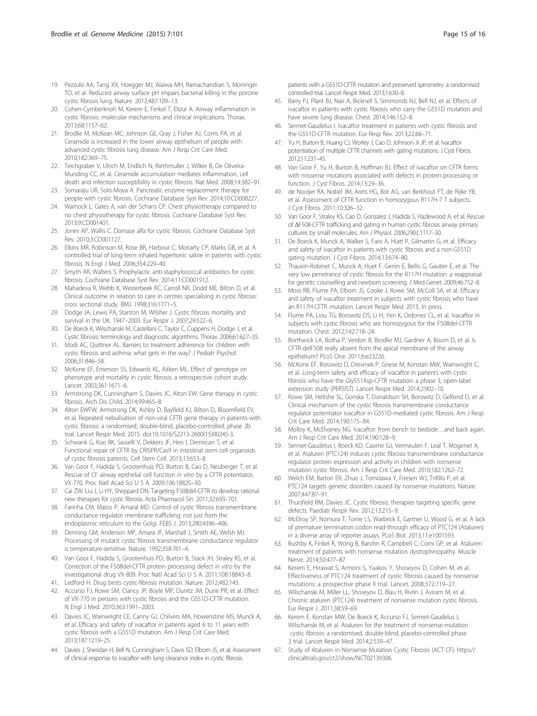- <span id="page-14-0"></span>19. Pezzulo AA, Tang XX, Hoegger MJ, Alaiwa MH, Ramachandran S, Moninger TO, et al. Reduced airway surface pH impairs bacterial killing in the porcine cystic fibrosis lung. Nature. 2012;487:109–13.
- 20. Cohen-Cymberknoh M, Kerem E, Ferkol T, Elizur A. Airway inflammation in cystic fibrosis: molecular mechanisms and clinical implications. Thorax. 2013;68:1157–62.
- 21. Brodlie M, McKean MC, Johnson GE, Gray J, Fisher AJ, Corris PA, et al. Ceramide is increased in the lower airway epithelium of people with advanced cystic fibrosis lung disease. Am J Resp Crit Care Med. 2010;182:369–75.
- 22. Teichgraber V, Ulrich M, Endlich N, Riethmuller J, Wilker B, De Oliveira-Munding CC, et al. Ceramide accumulation mediates inflammation, cell death and infection susceptibility in cystic fibrosis. Nat Med. 2008;14:382–91.
- 23. Somaraju UR, Solis-Moya A. Pancreatic enzyme replacement therapy for people with cystic fibrosis. Cochrane Database Syst Rev. 2014;10:CD008227.
- 24. Warnock L, Gates A, van der Schans CP. Chest physiotherapy compared to no chest physiotherapy for cystic fibrosis. Cochrane Database Syst Rev. 2013;9:CD001401.
- 25. Jones AP, Wallis C. Dornase alfa for cystic fibrosis. Cochrane Database Syst Rev. 2010;3:CD001127.
- 26. Elkins MR, Robinson M, Rose BR, Harbour C, Moriarty CP, Marks GB, et al. A controlled trial of long-term inhaled hypertonic saline in patients with cystic fibrosis. N Engl J Med. 2006;354:229–40.
- 27. Smyth AR, Walters S. Prophylactic anti-staphylococcal antibiotics for cystic fibrosis. Cochrane Database Syst Rev. 2014;11:CD001912.
- 28. Mahadeva R, Webb K, Westerbeek RC, Carroll NR, Dodd ME, Bilton D, et al. Clinical outcome in relation to care in centres specialising in cystic fibrosis: cross sectional study. BMJ. 1998;316:1771–5.
- 29. Dodge JA, Lewis PA, Stanton M, Wilsher J. Cystic fibrosis mortality and survival in the UK: 1947–2003. Eur Respir J. 2007;29:522–6.
- 30. De Boeck K, Wilschanski M, Castellani C, Taylor C, Cuppens H, Dodge J, et al. Cystic fibrosis: terminology and diagnostic algorithms. Thorax. 2006;61:627–35.
- 31. Modi AC, Quittner AL. Barriers to treatment adherence for children with cystic fibrosis and asthma: what gets in the way? J Pediatr Psychol. 2006;31:846–58.
- 32. McKone EF, Emerson SS, Edwards KL, Aitken ML. Effect of genotype on phenotype and mortality in cystic fibrosis: a retrospective cohort study. Lancet. 2003;361:1671–6.
- 33. Armstrong DK, Cunningham S, Davies JC, Alton EW. Gene therapy in cystic fibrosis. Arch Dis Child. 2014;99:465–8.
- 34. Alton EWFW, Armstrong DK, Ashby D, Bayfield KJ, Bilton D, Bloomfield EV, et al. Repeated nebulisation of non-viral CFTR gene therapy in patients with cystic fibrosis: a randomised, double-blind, placebo-controlled, phase 2b trial. Lancet Respir Med. 2015. doi:[10.1016/S2213-2600\(15\)00245-3.](http://dx.doi.org/10.1016/S2213-2600(15)00245-3)
- 35. Schwank G, Koo BK, Sasselli V, Dekkers JF, Heo I, Demircan T, et al. Functional repair of CFTR by CRISPR/Cas9 in intestinal stem cell organoids of cystic fibrosis patients. Cell Stem Cell. 2013;13:653–8.
- 36. Van Goor F, Hadida S, Grootenhuis PD, Burton B, Cao D, Neuberger T, et al. Rescue of CF airway epithelial cell function in vitro by a CFTR potentiator, VX-770. Proc Natl Acad Sci U S A. 2009;106:18825–30.
- 37. Cai ZW, Liu J, Li HY, Sheppard DN. Targeting F508del-CFTR to develop rational new therapies for cystic fibrosis. Acta Pharmacol Sin. 2011;32:693–701.
- 38. Farinha CM, Matos P, Amaral MD. Control of cystic fibrosis transmembrane conductance regulator membrane trafficking: not just from the endoplasmic reticulum to the Golgi. FEBS J. 2013;280:4396–406.
- 39. Denning GM, Anderson MP, Amara JF, Marshall J, Smith AE, Welsh MJ. Processing of mutant cystic fibrosis transmembrane conductance regulator is temperature-sensitive. Nature. 1992;358:761–4.
- 40. Van Goor F, Hadida S, Grootenhuis PD, Burton B, Stack JH, Straley KS, et al. Correction of the F508del-CFTR protein processing defect in vitro by the investigational drug VX-809. Proc Natl Acad Sci U S A. 2011;108:18843–8.
- 41. Ledford H. Drug bests cystic-fibrosis mutation. Nature. 2012;482:145.
- 42. Accurso FJ, Rowe SM, Clancy JP, Boyle MP, Dunitz JM, Durie PR, et al. Effect of VX-770 in persons with cystic fibrosis and the G551D-CFTR mutation. N Engl J Med. 2010;363:1991–2003.
- 43. Davies JC, Wainwright CE, Canny GJ, Chilvers MA, Howenstine MS, Munck A, et al. Efficacy and safety of ivacaftor in patients aged 6 to 11 years with cystic fibrosis with a G551D mutation. Am J Resp Crit Care Med. 2013;187:1219–25.
- 44. Davies J, Sheridan H, Bell N, Cunningham S, Davis SD, Elborn JS, et al. Assessment of clinical response to ivacaftor with lung clearance index in cystic fibrosis

patients with a G551D-CFTR mutation and preserved spirometry: a randomised controlled trial. Lancet Respir Med. 2013;1:630–8.

- 45. Barry PJ, Plant BJ, Nair A, Bicknell S, Simmonds NJ, Bell NJ, et al. Effects of ivacaftor in patients with cystic fibrosis who carry the G551D mutation and have severe lung disease. Chest. 2014;146:152-8.
- 46. Sermet-Gaudelus I. Ivacaftor treatment in patients with cystic fibrosis and the G551D-CFTR mutation. Eur Resp Rev. 2013;22:66–71.
- 47. Yu H, Burton B, Huang CJ, Worley J, Cao D, Johnson Jr JP, et al. Ivacaftor potentiation of multiple CFTR channels with gating mutations. J Cyst Fibros. 2012;11:237–45.
- 48. Van Goor F, Yu H, Burton B, Hoffman BJ. Effect of ivacaftor on CFTR forms with missense mutations associated with defects in protein processing or function. J Cyst Fibros. 2014;13:29–36.
- 49. de Nooijer RA, Nobel JM, Arets HG, Bot AG, van Berkhout FT, de Rijke YB, et al. Assessment of CFTR function in homozygous R117H-7 T subjects. J Cyst Fibros. 2011;10:326–32.
- 50. Van Goor F, Straley KS, Cao D, Gonzalez J, Hadida S, Hazlewood A, et al. Rescue of ΔF508-CFTR trafficking and gating in human cystic fibrosis airway primary cultures by small molecules. Am J Physiol. 2006;290:L1117–30.
- 51. De Boeck K, Munck A, Walker S, Faro A, Hiatt P, Gilmartin G, et al. Efficacy and safety of ivacaftor in patients with cystic fibrosis and a non-G551D gating mutation. J Cyst Fibros. 2014;13:674–80.
- 52. Thauvin-Robinet C, Munck A, Huet F, Genin E, Bellis G, Gautier E, et al. The very low penetrance of cystic fibrosis for the R117H mutation: a reappraisal for genetic counselling and newborn screening. J Med Genet. 2009;46:752–8.
- 53. Moss RB, Flume PA, Elborn JS, Cooke J, Rowe SM, McColl SA, et al. Efficacy and safety of ivacaftor treatment in subjects with cystic fibrosis who have an R117H-CFTR mutation. Lancet Respir Med. 2015. In press.
- 54. Flume PA, Liou TG, Borowitz DS, Li H, Yen K, Ordonez CL, et al. Ivacaftor in subjects with cystic fibrosis who are homozygous for the F508del-CFTR mutation. Chest. 2012;142:718–24.
- 55. Borthwick LA, Botha P, Verdon B, Brodlie MJ, Gardner A, Bourn D, et al. Is CFTR-delF508 really absent from the apical membrane of the airway epithelium? PLoS One. 2011;6:e23226.
- 56. McKone EF, Borowitz D, Drevinek P, Griese M, Konstan MW, Wainwright C, et al. Long-term safety and efficacy of ivacaftor in patients with cystic fibrosis who have the Gly551Asp-CFTR mutation: a phase 3, open-label extension study (PERSIST). Lancet Respir Med. 2014;2:902–10.
- 57. Rowe SM, Heltshe SL, Gonska T, Donaldson SH, Borowitz D, Gelfond D, et al. Clinical mechanism of the cystic fibrosis transmembrane conductance regulator potentiator ivacaftor in G551D-mediated cystic fibrosis. Am J Resp Crit Care Med. 2014;190:175–84.
- 58. Molloy K, McElvaney NG. Ivacaftor: from bench to bedside…and back again. Am J Resp Crit Care Med. 2014;190:128–9.
- 59. Sermet-Gaudelus I, Boeck KD, Casimir GJ, Vermeulen F, Leal T, Mogenet A, et al. Ataluren (PTC124) induces cystic fibrosis transmembrane conductance regulator protein expression and activity in children with nonsense mutation cystic fibrosis. Am J Resp Crit Care Med. 2010;182:1262–72.
- 60. Welch EM, Barton ER, Zhuo J, Tomizawa Y, Friesen WJ, Trifillis P, et al. PTC124 targets genetic disorders caused by nonsense mutations. Nature. 2007;447:87–91.
- 61. Thursfield RM, Davies JC. Cystic fibrosis: therapies targeting specific gene defects. Paediatr Respir Rev. 2012;13:215–9.
- 62. McElroy SP, Nomura T, Torrie LS, Warbrick E, Gartner U, Wood G, et al. A lack of premature termination codon read-through efficacy of PTC124 (Ataluren) in a diverse array of reporter assays. PLoS Biol. 2013;11:e1001593.
- Bushby K, Finkel R, Wong B, Barohn R, Campbell C, Comi GP, et al. Ataluren treatment of patients with nonsense mutation dystrophinopathy. Muscle Nerve. 2014;50:477–87.
- 64. Kerem E, Hirawat S, Armoni S, Yaakov Y, Shoseyov D, Cohen M, et al. Effectiveness of PTC124 treatment of cystic fibrosis caused by nonsense mutations: a prospective phase II trial. Lancet. 2008;372:719–27.
- 65. Wilschanski M, Miller LL, Shoseyov D, Blau H, Rivlin J, Aviram M, et al. Chronic ataluren (PTC124) treatment of nonsense mutation cystic fibrosis. Eur Respir J. 2011;38:59–69.
- 66. Kerem E, Konstan MW, De Boeck K, Accurso FJ, Sermet-Gaudelus I, Wilschanski M, et al. Ataluren for the treatment of nonsense-mutation cystic fibrosis: a randomised, double-blind, placebo-controlled phase 3 trial. Lancet Respir Med. 2014;2:539–47.
- 67. Study of Ataluren in Nonsense Mutation Cystic Fibrosis (ACT CF). [https://](https://clinicaltrials.gov/ct2/show/NCT02139306) [clinicaltrials.gov/ct2/show/NCT02139306](https://clinicaltrials.gov/ct2/show/NCT02139306).